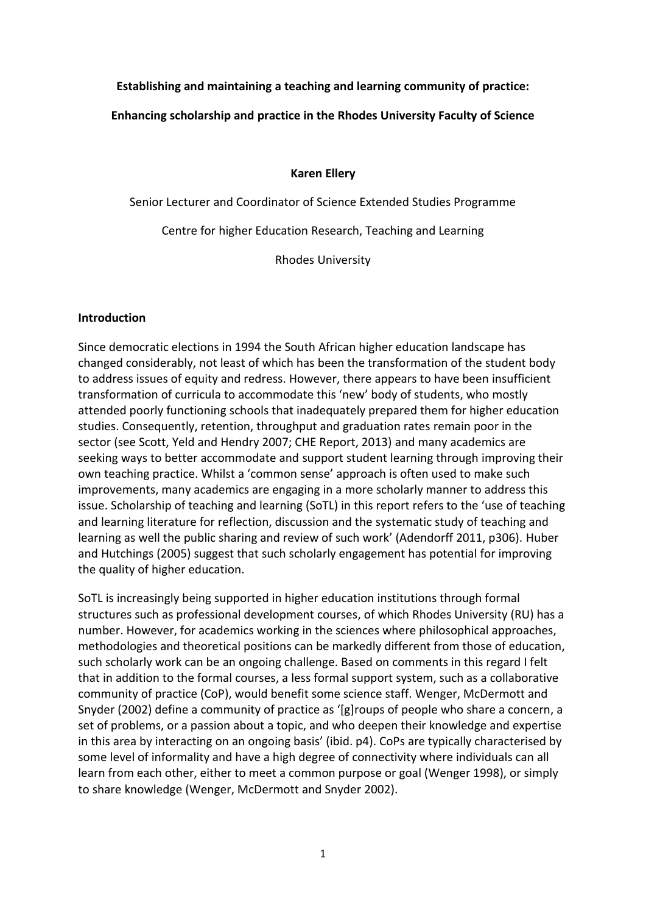### **Establishing and maintaining a teaching and learning community of practice:**

### **Enhancing scholarship and practice in the Rhodes University Faculty of Science**

#### **Karen Ellery**

Senior Lecturer and Coordinator of Science Extended Studies Programme Centre for higher Education Research, Teaching and Learning

Rhodes University

#### **Introduction**

Since democratic elections in 1994 the South African higher education landscape has changed considerably, not least of which has been the transformation of the student body to address issues of equity and redress. However, there appears to have been insufficient transformation of curricula to accommodate this 'new' body of students, who mostly attended poorly functioning schools that inadequately prepared them for higher education studies. Consequently, retention, throughput and graduation rates remain poor in the sector (see Scott, Yeld and Hendry 2007; CHE Report, 2013) and many academics are seeking ways to better accommodate and support student learning through improving their own teaching practice. Whilst a 'common sense' approach is often used to make such improvements, many academics are engaging in a more scholarly manner to address this issue. Scholarship of teaching and learning (SoTL) in this report refers to the 'use of teaching and learning literature for reflection, discussion and the systematic study of teaching and learning as well the public sharing and review of such work' (Adendorff 2011, p306). Huber and Hutchings (2005) suggest that such scholarly engagement has potential for improving the quality of higher education.

SoTL is increasingly being supported in higher education institutions through formal structures such as professional development courses, of which Rhodes University (RU) has a number. However, for academics working in the sciences where philosophical approaches, methodologies and theoretical positions can be markedly different from those of education, such scholarly work can be an ongoing challenge. Based on comments in this regard I felt that in addition to the formal courses, a less formal support system, such as a collaborative community of practice (CoP), would benefit some science staff. Wenger, McDermott and Snyder (2002) define a community of practice as '[g]roups of people who share a concern, a set of problems, or a passion about a topic, and who deepen their knowledge and expertise in this area by interacting on an ongoing basis' (ibid. p4). CoPs are typically characterised by some level of informality and have a high degree of connectivity where individuals can all learn from each other, either to meet a common purpose or goal (Wenger 1998), or simply to share knowledge (Wenger, McDermott and Snyder 2002).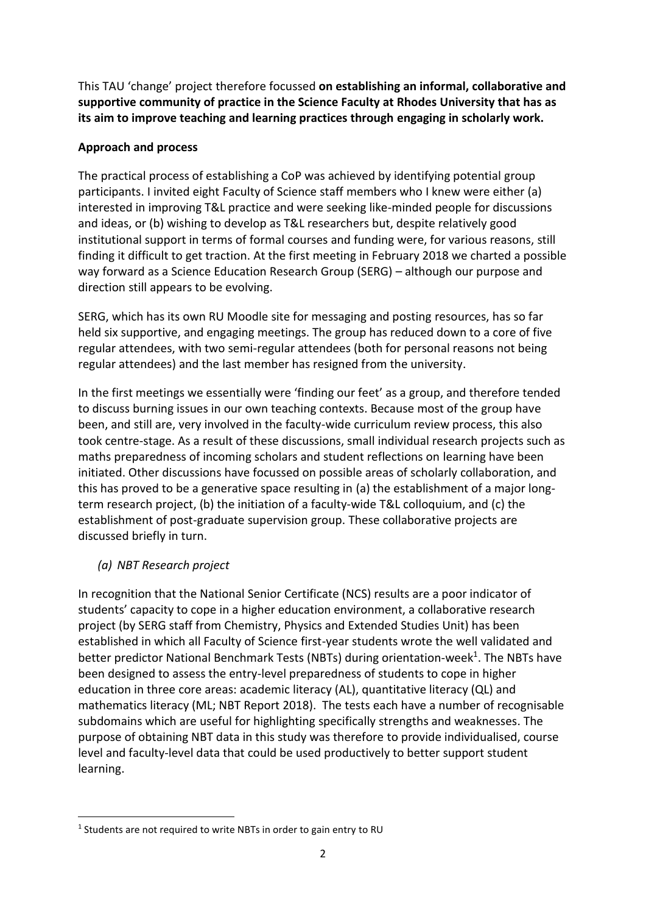This TAU 'change' project therefore focussed **on establishing an informal, collaborative and supportive community of practice in the Science Faculty at Rhodes University that has as its aim to improve teaching and learning practices through engaging in scholarly work.** 

### **Approach and process**

The practical process of establishing a CoP was achieved by identifying potential group participants. I invited eight Faculty of Science staff members who I knew were either (a) interested in improving T&L practice and were seeking like-minded people for discussions and ideas, or (b) wishing to develop as T&L researchers but, despite relatively good institutional support in terms of formal courses and funding were, for various reasons, still finding it difficult to get traction. At the first meeting in February 2018 we charted a possible way forward as a Science Education Research Group (SERG) – although our purpose and direction still appears to be evolving.

SERG, which has its own RU Moodle site for messaging and posting resources, has so far held six supportive, and engaging meetings. The group has reduced down to a core of five regular attendees, with two semi-regular attendees (both for personal reasons not being regular attendees) and the last member has resigned from the university.

In the first meetings we essentially were 'finding our feet' as a group, and therefore tended to discuss burning issues in our own teaching contexts. Because most of the group have been, and still are, very involved in the faculty-wide curriculum review process, this also took centre-stage. As a result of these discussions, small individual research projects such as maths preparedness of incoming scholars and student reflections on learning have been initiated. Other discussions have focussed on possible areas of scholarly collaboration, and this has proved to be a generative space resulting in (a) the establishment of a major longterm research project, (b) the initiation of a faculty-wide T&L colloquium, and (c) the establishment of post-graduate supervision group. These collaborative projects are discussed briefly in turn.

# *(a) NBT Research project*

In recognition that the National Senior Certificate (NCS) results are a poor indicator of students' capacity to cope in a higher education environment, a collaborative research project (by SERG staff from Chemistry, Physics and Extended Studies Unit) has been established in which all Faculty of Science first-year students wrote the well validated and better predictor National Benchmark Tests (NBTs) during orientation-week<sup>1</sup>. The NBTs have been designed to assess the entry-level preparedness of students to cope in higher education in three core areas: academic literacy (AL), quantitative literacy (QL) and mathematics literacy (ML; NBT Report 2018). The tests each have a number of recognisable subdomains which are useful for highlighting specifically strengths and weaknesses. The purpose of obtaining NBT data in this study was therefore to provide individualised, course level and faculty-level data that could be used productively to better support student learning.

**<sup>.</sup>** <sup>1</sup> Students are not required to write NBTs in order to gain entry to RU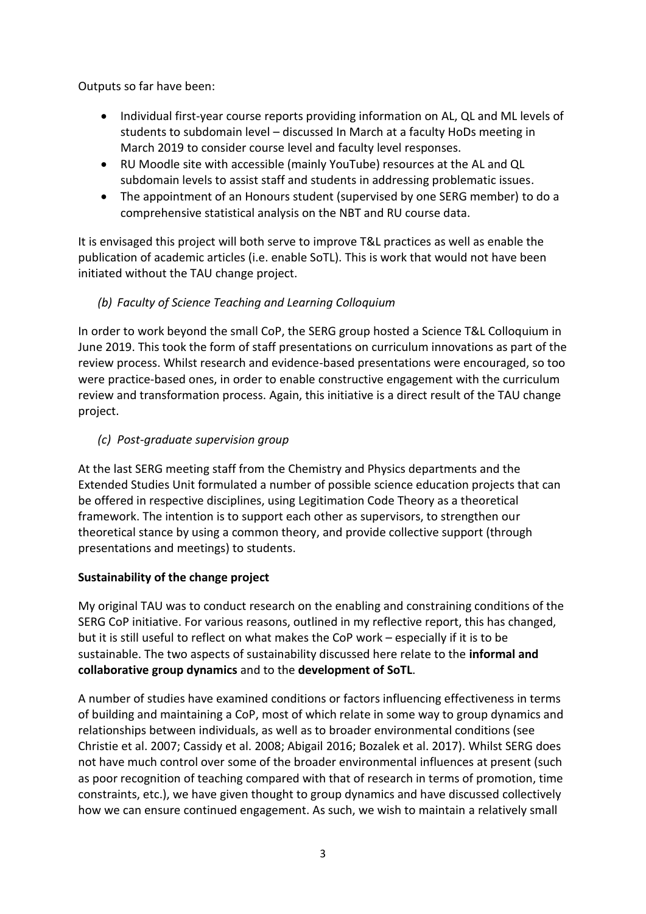Outputs so far have been:

- Individual first-year course reports providing information on AL, QL and ML levels of students to subdomain level – discussed In March at a faculty HoDs meeting in March 2019 to consider course level and faculty level responses.
- RU Moodle site with accessible (mainly YouTube) resources at the AL and QL subdomain levels to assist staff and students in addressing problematic issues.
- The appointment of an Honours student (supervised by one SERG member) to do a comprehensive statistical analysis on the NBT and RU course data.

It is envisaged this project will both serve to improve T&L practices as well as enable the publication of academic articles (i.e. enable SoTL). This is work that would not have been initiated without the TAU change project.

# *(b) Faculty of Science Teaching and Learning Colloquium*

In order to work beyond the small CoP, the SERG group hosted a Science T&L Colloquium in June 2019. This took the form of staff presentations on curriculum innovations as part of the review process. Whilst research and evidence-based presentations were encouraged, so too were practice-based ones, in order to enable constructive engagement with the curriculum review and transformation process. Again, this initiative is a direct result of the TAU change project.

# *(c) Post-graduate supervision group*

At the last SERG meeting staff from the Chemistry and Physics departments and the Extended Studies Unit formulated a number of possible science education projects that can be offered in respective disciplines, using Legitimation Code Theory as a theoretical framework. The intention is to support each other as supervisors, to strengthen our theoretical stance by using a common theory, and provide collective support (through presentations and meetings) to students.

# **Sustainability of the change project**

My original TAU was to conduct research on the enabling and constraining conditions of the SERG CoP initiative. For various reasons, outlined in my reflective report, this has changed, but it is still useful to reflect on what makes the CoP work – especially if it is to be sustainable. The two aspects of sustainability discussed here relate to the **informal and collaborative group dynamics** and to the **development of SoTL**.

A number of studies have examined conditions or factors influencing effectiveness in terms of building and maintaining a CoP, most of which relate in some way to group dynamics and relationships between individuals, as well as to broader environmental conditions (see Christie et al. 2007; Cassidy et al. 2008; Abigail 2016; Bozalek et al. 2017). Whilst SERG does not have much control over some of the broader environmental influences at present (such as poor recognition of teaching compared with that of research in terms of promotion, time constraints, etc.), we have given thought to group dynamics and have discussed collectively how we can ensure continued engagement. As such, we wish to maintain a relatively small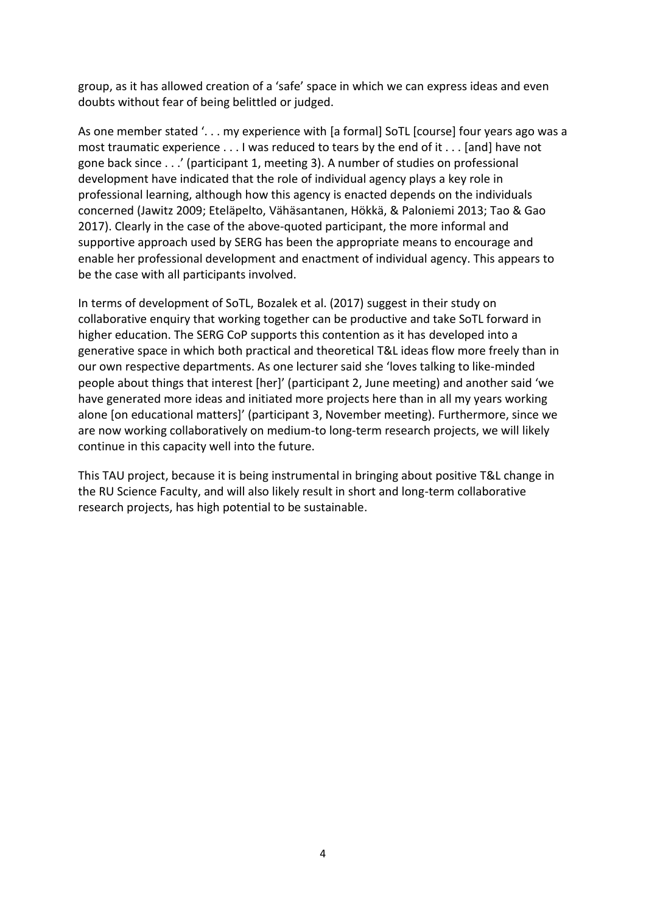group, as it has allowed creation of a 'safe' space in which we can express ideas and even doubts without fear of being belittled or judged.

As one member stated '... my experience with [a formal] SoTL [course] four years ago was a most traumatic experience . . . I was reduced to tears by the end of it . . . [and] have not gone back since . . .' (participant 1, meeting 3). A number of studies on professional development have indicated that the role of individual agency plays a key role in professional learning, although how this agency is enacted depends on the individuals concerned (Jawitz 2009; Eteläpelto, Vähäsantanen, Hökkä, & Paloniemi 2013; Tao & Gao 2017). Clearly in the case of the above-quoted participant, the more informal and supportive approach used by SERG has been the appropriate means to encourage and enable her professional development and enactment of individual agency. This appears to be the case with all participants involved.

In terms of development of SoTL, Bozalek et al. (2017) suggest in their study on collaborative enquiry that working together can be productive and take SoTL forward in higher education. The SERG CoP supports this contention as it has developed into a generative space in which both practical and theoretical T&L ideas flow more freely than in our own respective departments. As one lecturer said she 'loves talking to like-minded people about things that interest [her]' (participant 2, June meeting) and another said 'we have generated more ideas and initiated more projects here than in all my years working alone [on educational matters]' (participant 3, November meeting). Furthermore, since we are now working collaboratively on medium-to long-term research projects, we will likely continue in this capacity well into the future.

This TAU project, because it is being instrumental in bringing about positive T&L change in the RU Science Faculty, and will also likely result in short and long-term collaborative research projects, has high potential to be sustainable.